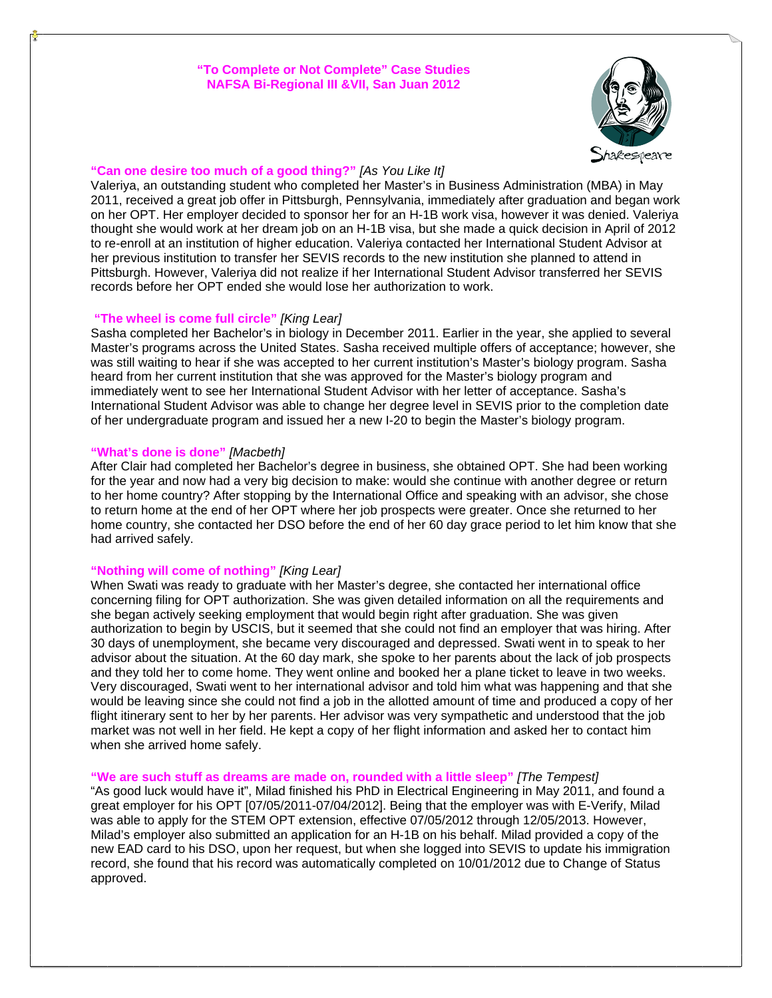## **"To Complete or Not Complete" Case Studies NAFSA Bi-Regional III &VII, San Juan 2012**



## **"Can one desire too much of a good thing?"** *[As You Like It]*

Valeriya, an outstanding student who completed her Master's in Business Administration (MBA) in May 2011, received a great job offer in Pittsburgh, Pennsylvania, immediately after graduation and began work on her OPT. Her employer decided to sponsor her for an H-1B work visa, however it was denied. Valeriya thought she would work at her dream job on an H-1B visa, but she made a quick decision in April of 2012 to re-enroll at an institution of higher education. Valeriya contacted her International Student Advisor at her previous institution to transfer her SEVIS records to the new institution she planned to attend in Pittsburgh. However, Valeriya did not realize if her International Student Advisor transferred her SEVIS records before her OPT ended she would lose her authorization to work.

# **"The wheel is come full circle"** *[King Lear]*

Sasha completed her Bachelor's in biology in December 2011. Earlier in the year, she applied to several Master's programs across the United States. Sasha received multiple offers of acceptance; however, she was still waiting to hear if she was accepted to her current institution's Master's biology program. Sasha heard from her current institution that she was approved for the Master's biology program and immediately went to see her International Student Advisor with her letter of acceptance. Sasha's International Student Advisor was able to change her degree level in SEVIS prior to the completion date of her undergraduate program and issued her a new I-20 to begin the Master's biology program.

### **"What's done is done"** *[Macbeth]*

After Clair had completed her Bachelor's degree in business, she obtained OPT. She had been working for the year and now had a very big decision to make: would she continue with another degree or return to her home country? After stopping by the International Office and speaking with an advisor, she chose to return home at the end of her OPT where her job prospects were greater. Once she returned to her home country, she contacted her DSO before the end of her 60 day grace period to let him know that she had arrived safely.

### **"Nothing will come of nothing"** *[King Lear]*

When Swati was ready to graduate with her Master's degree, she contacted her international office concerning filing for OPT authorization. She was given detailed information on all the requirements and she began actively seeking employment that would begin right after graduation. She was given authorization to begin by USCIS, but it seemed that she could not find an employer that was hiring. After 30 days of unemployment, she became very discouraged and depressed. Swati went in to speak to her advisor about the situation. At the 60 day mark, she spoke to her parents about the lack of job prospects and they told her to come home. They went online and booked her a plane ticket to leave in two weeks. Very discouraged, Swati went to her international advisor and told him what was happening and that she would be leaving since she could not find a job in the allotted amount of time and produced a copy of her flight itinerary sent to her by her parents. Her advisor was very sympathetic and understood that the job market was not well in her field. He kept a copy of her flight information and asked her to contact him when she arrived home safely.

### **"We are such stuff as dreams are made on, rounded with a little sleep"** *[The Tempest]*

"As good luck would have it", Milad finished his PhD in Electrical Engineering in May 2011, and found a great employer for his OPT [07/05/2011-07/04/2012]. Being that the employer was with E-Verify, Milad was able to apply for the STEM OPT extension, effective 07/05/2012 through 12/05/2013. However, Milad's employer also submitted an application for an H-1B on his behalf. Milad provided a copy of the new EAD card to his DSO, upon her request, but when she logged into SEVIS to update his immigration record, she found that his record was automatically completed on 10/01/2012 due to Change of Status approved.